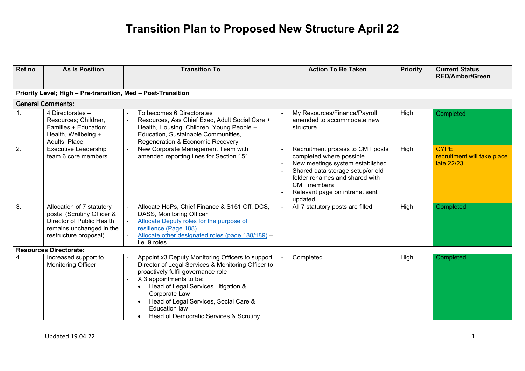| Ref no         | <b>As Is Position</b>                                                                                                                    | <b>Transition To</b>                                                                                                                                                                                                                                                                                                                       | <b>Action To Be Taken</b>                                                                                                                                                                                                                | <b>Priority</b> | <b>Current Status</b><br><b>RED/Amber/Green</b>           |
|----------------|------------------------------------------------------------------------------------------------------------------------------------------|--------------------------------------------------------------------------------------------------------------------------------------------------------------------------------------------------------------------------------------------------------------------------------------------------------------------------------------------|------------------------------------------------------------------------------------------------------------------------------------------------------------------------------------------------------------------------------------------|-----------------|-----------------------------------------------------------|
|                |                                                                                                                                          |                                                                                                                                                                                                                                                                                                                                            |                                                                                                                                                                                                                                          |                 |                                                           |
|                | Priority Level; High - Pre-transition, Med - Post-Transition                                                                             |                                                                                                                                                                                                                                                                                                                                            |                                                                                                                                                                                                                                          |                 |                                                           |
|                | <b>General Comments:</b>                                                                                                                 |                                                                                                                                                                                                                                                                                                                                            |                                                                                                                                                                                                                                          |                 |                                                           |
| $\mathbf{1}$ . | 4 Directorates -<br>Resources; Children,<br>Families + Education;<br>Health, Wellbeing +<br>Adults; Place                                | To becomes 6 Directorates<br>Resources, Ass Chief Exec, Adult Social Care +<br>Health, Housing, Children, Young People +<br>Education, Sustainable Communities,<br>Regeneration & Economic Recovery                                                                                                                                        | My Resources/Finance/Payroll<br>amended to accommodate new<br>structure                                                                                                                                                                  | High            | Completed                                                 |
| 2.             | <b>Executive Leadership</b><br>team 6 core members                                                                                       | New Corporate Management Team with<br>amended reporting lines for Section 151.                                                                                                                                                                                                                                                             | Recruitment process to CMT posts<br>completed where possible<br>New meetings system established<br>Shared data storage setup/or old<br>folder renames and shared with<br><b>CMT</b> members<br>Relevant page on intranet sent<br>updated | High            | <b>CYPE</b><br>recruitment will take place<br>late 22/23. |
| 3.             | Allocation of 7 statutory<br>posts (Scrutiny Officer &<br>Director of Public Health<br>remains unchanged in the<br>restructure proposal) | Allocate HoPs, Chief Finance & S151 Off, DCS,<br>DASS, Monitoring Officer<br>Allocate Deputy roles for the purpose of<br>resilience (Page 188)<br>Allocate other designated roles (page 188/189) -<br>i.e. 9 roles                                                                                                                         | All 7 statutory posts are filled                                                                                                                                                                                                         | High            | Completed                                                 |
|                | <b>Resources Directorate:</b>                                                                                                            |                                                                                                                                                                                                                                                                                                                                            |                                                                                                                                                                                                                                          |                 |                                                           |
| 4.             | Increased support to<br><b>Monitoring Officer</b>                                                                                        | Appoint x3 Deputy Monitoring Officers to support<br>Director of Legal Services & Monitoring Officer to<br>proactively fulfil governance role<br>X 3 appointments to be:<br>Head of Legal Services Litigation &<br>Corporate Law<br>Head of Legal Services, Social Care &<br><b>Education law</b><br>Head of Democratic Services & Scrutiny | Completed                                                                                                                                                                                                                                | High            | Completed                                                 |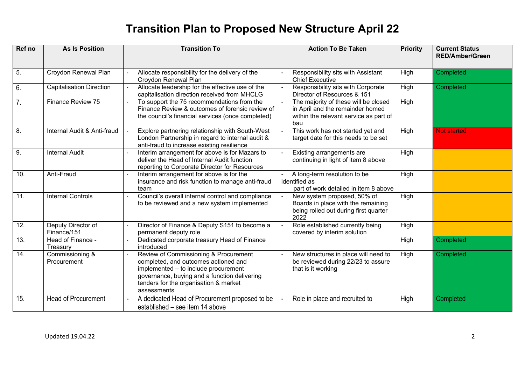| Ref no            | <b>As Is Position</b>             | <b>Transition To</b>                                                                                                                                                                                                          | <b>Action To Be Taken</b>                                                                                                 | <b>Priority</b> | <b>Current Status</b><br><b>RED/Amber/Green</b> |
|-------------------|-----------------------------------|-------------------------------------------------------------------------------------------------------------------------------------------------------------------------------------------------------------------------------|---------------------------------------------------------------------------------------------------------------------------|-----------------|-------------------------------------------------|
| $\overline{5}$ .  | Croydon Renewal Plan              | Allocate responsibility for the delivery of the<br>Croydon Renewal Plan                                                                                                                                                       | Responsibility sits with Assistant<br><b>Chief Executive</b>                                                              | High            | Completed                                       |
| 6.                | <b>Capitalisation Direction</b>   | Allocate leadership for the effective use of the<br>capitalisation direction received from MHCLG                                                                                                                              | Responsibility sits with Corporate<br>Director of Resources & 151                                                         | High            | Completed                                       |
| 7.                | Finance Review 75                 | To support the 75 recommendations from the<br>Finance Review & outcomes of forensic review of<br>the council's financial services (once completed)                                                                            | The majority of these will be closed<br>in April and the remainder homed<br>within the relevant service as part of<br>bau | High            |                                                 |
| $\overline{8}$ .  | Internal Audit & Anti-fraud       | Explore partnering relationship with South-West<br>London Partnership in regard to internal audit &<br>anti-fraud to increase existing resilience                                                                             | This work has not started yet and<br>target date for this needs to be set                                                 | High            | <b>Not started</b>                              |
| $\overline{9}$ .  | <b>Internal Audit</b>             | Interim arrangement for above is for Mazars to<br>deliver the Head of Internal Audit function<br>reporting to Corporate Director for Resources                                                                                | Existing arrangements are<br>continuing in light of item 8 above                                                          | High            |                                                 |
| 10.               | Anti-Fraud                        | Interim arrangement for above is for the<br>insurance and risk function to manage anti-fraud<br>team                                                                                                                          | A long-term resolution to be<br>identified as<br>part of work detailed in item 8 above                                    | High            |                                                 |
| $\overline{11}$ . | <b>Internal Controls</b>          | Council's overall internal control and compliance<br>to be reviewed and a new system implemented                                                                                                                              | New system proposed, 50% of<br>Boards in place with the remaining<br>being rolled out during first quarter<br>2022        | High            |                                                 |
| $\overline{12}$ . | Deputy Director of<br>Finance/151 | Director of Finance & Deputy S151 to become a<br>permanent deputy role                                                                                                                                                        | Role established currently being<br>covered by interim solution                                                           | High            |                                                 |
| 13.               | Head of Finance -<br>Treasury     | Dedicated corporate treasury Head of Finance<br>introduced                                                                                                                                                                    |                                                                                                                           | High            | Completed                                       |
| 14.               | Commissioning &<br>Procurement    | Review of Commissioning & Procurement<br>completed, and outcomes actioned and<br>implemented - to include procurement<br>governance, buying and a function delivering<br>tenders for the organisation & market<br>assessments | New structures in place will need to<br>be reviewed during 22/23 to assure<br>that is it working                          | High            | Completed                                       |
| 15.               | <b>Head of Procurement</b>        | A dedicated Head of Procurement proposed to be<br>established - see item 14 above                                                                                                                                             | Role in place and recruited to                                                                                            | High            | Completed                                       |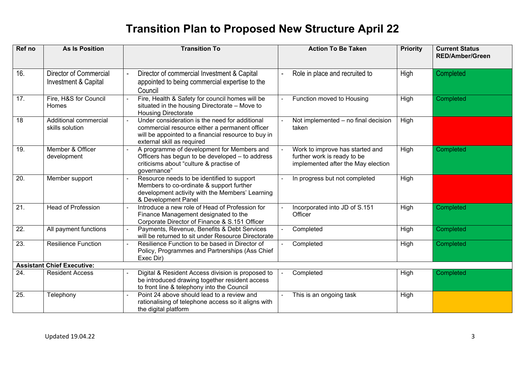| Ref no            | <b>As Is Position</b>                                 | <b>Transition To</b>                                                                                                                                                                  | <b>Action To Be Taken</b>                                                                            | <b>Priority</b> | <b>Current Status</b><br><b>RED/Amber/Green</b> |
|-------------------|-------------------------------------------------------|---------------------------------------------------------------------------------------------------------------------------------------------------------------------------------------|------------------------------------------------------------------------------------------------------|-----------------|-------------------------------------------------|
| 16.               | <b>Director of Commercial</b><br>Investment & Capital | Director of commercial Investment & Capital<br>appointed to being commercial expertise to the<br>Council                                                                              | Role in place and recruited to<br>$\blacksquare$                                                     | High            | Completed                                       |
| 17.               | Fire, H&S for Council<br>Homes                        | Fire, Health & Safety for council homes will be<br>situated in the housing Directorate - Move to<br><b>Housing Directorate</b>                                                        | Function moved to Housing                                                                            | High            | Completed                                       |
| 18                | Additional commercial<br>skills solution              | Under consideration is the need for additional<br>commercial resource either a permanent officer<br>will be appointed to a financial resource to buy in<br>external skill as required | Not implemented - no final decision<br>taken                                                         | High            |                                                 |
| $\overline{19}$ . | Member & Officer<br>development                       | A programme of development for Members and<br>Officers has begun to be developed - to address<br>criticisms about "culture & practise of<br>governance"                               | Work to improve has started and<br>further work is ready to be<br>implemented after the May election | High            | Completed                                       |
| 20.               | Member support                                        | Resource needs to be identified to support<br>Members to co-ordinate & support further<br>development activity with the Members' Learning<br>& Development Panel                      | In progress but not completed                                                                        | High            |                                                 |
| 21.               | <b>Head of Profession</b>                             | Introduce a new role of Head of Profession for<br>Finance Management designated to the<br>Corporate Director of Finance & S.151 Officer                                               | Incorporated into JD of S.151<br>Officer                                                             | High            | Completed                                       |
| $\overline{22}$   | All payment functions                                 | Payments, Revenue, Benefits & Debt Services<br>will be returned to sit under Resource Directorate                                                                                     | Completed                                                                                            | High            | <b>Completed</b>                                |
| 23.               | <b>Resilience Function</b>                            | Resilience Function to be based in Director of<br>Policy, Programmes and Partnerships (Ass Chief<br>Exec Dir)                                                                         | Completed                                                                                            | High            | Completed                                       |
|                   | <b>Assistant Chief Executive:</b>                     |                                                                                                                                                                                       |                                                                                                      |                 |                                                 |
| 24.               | <b>Resident Access</b>                                | Digital & Resident Access division is proposed to<br>be introduced drawing together resident access<br>to front line & telephony into the Council                                     | Completed                                                                                            | High            | Completed                                       |
| 25.               | Telephony                                             | Point 24 above should lead to a review and<br>rationalising of telephone access so it aligns with<br>the digital platform                                                             | This is an ongoing task                                                                              | High            |                                                 |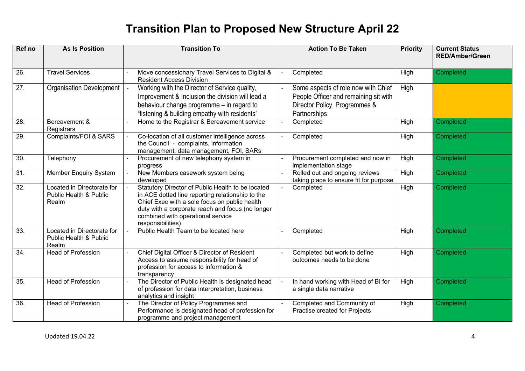| Ref no            | <b>As Is Position</b>                                         | <b>Transition To</b>                                                                                                                                                                                                                                                 | <b>Action To Be Taken</b>                                                                                                     | <b>Priority</b> | <b>Current Status</b><br><b>RED/Amber/Green</b> |
|-------------------|---------------------------------------------------------------|----------------------------------------------------------------------------------------------------------------------------------------------------------------------------------------------------------------------------------------------------------------------|-------------------------------------------------------------------------------------------------------------------------------|-----------------|-------------------------------------------------|
| 26.               | <b>Travel Services</b>                                        | Move concessionary Travel Services to Digital &<br><b>Resident Access Division</b>                                                                                                                                                                                   | Completed                                                                                                                     | High            | Completed                                       |
| 27.               | <b>Organisation Development</b>                               | Working with the Director of Service quality,<br>Improvement & Inclusion the division will lead a<br>behaviour change programme – in regard to<br>"listening & building empathy with residents"                                                                      | Some aspects of role now with Chief<br>People Officer and remaining sit with<br>Director Policy, Programmes &<br>Partnerships | High            |                                                 |
| 28.               | Bereavement &<br>Registrars                                   | Home to the Registrar & Bereavement service                                                                                                                                                                                                                          | Completed                                                                                                                     | High            | Completed                                       |
| $\overline{29}$ . | Complaints/FOI & SARS                                         | Co-location of all customer intelligence across<br>the Council - complaints, information<br>management, data management, FOI, SARs                                                                                                                                   | Completed                                                                                                                     | High            | Completed                                       |
| $\overline{30}$ . | Telephony                                                     | Procurement of new telephony system in<br>progress                                                                                                                                                                                                                   | Procurement completed and now in<br>implementation stage                                                                      | High            | Completed                                       |
| $\overline{31}$ . | <b>Member Enquiry System</b>                                  | New Members casework system being<br>developed                                                                                                                                                                                                                       | Rolled out and ongoing reviews<br>taking place to ensure fit for purpose                                                      | High            | Completed                                       |
| $\overline{32}$ . | Located in Directorate for<br>Public Health & Public<br>Realm | Statutory Director of Public Health to be located<br>in ACE dotted line reporting relationship to the<br>Chief Exec with a sole focus on public health<br>duty with a corporate reach and focus (no longer<br>combined with operational service<br>responsibilities) | Completed                                                                                                                     | High            | <b>Completed</b>                                |
| 33.               | Located in Directorate for<br>Public Health & Public<br>Realm | Public Health Team to be located here                                                                                                                                                                                                                                | Completed                                                                                                                     | High            | Completed                                       |
| 34.               | <b>Head of Profession</b>                                     | Chief Digital Officer & Director of Resident<br>Access to assume responsibility for head of<br>profession for access to information &<br>transparency                                                                                                                | Completed but work to define<br>outcomes needs to be done                                                                     | High            | Completed                                       |
| 35.               | <b>Head of Profession</b>                                     | The Director of Public Health is designated head<br>of profession for data interpretation, business<br>analytics and insight                                                                                                                                         | In hand working with Head of BI for<br>a single data narrative                                                                | High            | Completed                                       |
| 36.               | <b>Head of Profession</b>                                     | The Director of Policy Programmes and<br>Performance is designated head of profession for<br>programme and project management                                                                                                                                        | Completed and Community of<br>Practise created for Projects                                                                   | High            | Completed                                       |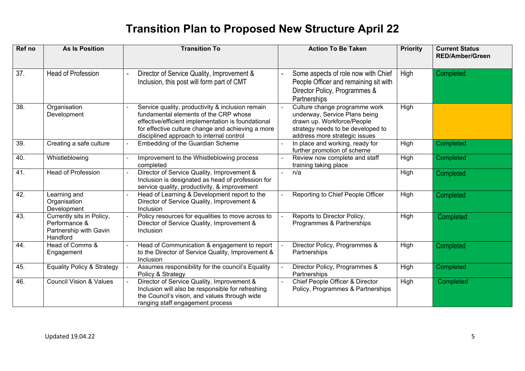| Ref no | <b>As Is Position</b>                                                            | <b>Transition To</b>                                                                                                                                                                                                                             | <b>Action To Be Taken</b>                                                                                                                                          | <b>Priority</b> | <b>Current Status</b><br><b>RED/Amber/Green</b> |
|--------|----------------------------------------------------------------------------------|--------------------------------------------------------------------------------------------------------------------------------------------------------------------------------------------------------------------------------------------------|--------------------------------------------------------------------------------------------------------------------------------------------------------------------|-----------------|-------------------------------------------------|
| 37.    | <b>Head of Profession</b>                                                        | Director of Service Quality, Improvement &<br>Inclusion, this post will form part of CMT                                                                                                                                                         | Some aspects of role now with Chief<br>People Officer and remaining sit with<br>Director Policy, Programmes &<br>Partnerships                                      | High            | Completed                                       |
| 38.    | Organisation<br>Development                                                      | Service quality, productivity & inclusion remain<br>fundamental elements of the CRP whose<br>effective/efficient implementation is foundational<br>for effective culture change and achieving a more<br>disciplined approach to internal control | Culture change programme work<br>underway, Service Plans being<br>drawn up. Workforce/People<br>strategy needs to be developed to<br>address more strategic issues | High            |                                                 |
| 39.    | Creating a safe culture                                                          | Embedding of the Guardian Scheme                                                                                                                                                                                                                 | In place and working, ready for<br>further promotion of scheme                                                                                                     | High            | Completed                                       |
| 40.    | Whistleblowing                                                                   | Improvement to the Whistleblowing process<br>completed                                                                                                                                                                                           | Review now complete and staff<br>training taking place                                                                                                             | High            | Completed                                       |
| 41.    | <b>Head of Profession</b>                                                        | Director of Service Quality, Improvement &<br>Inclusion is designated as head of profession for<br>service quality, productivity, & improvement                                                                                                  | n/a                                                                                                                                                                | High            | Completed                                       |
| 42.    | Learning and<br>Organisation<br>Development                                      | Head of Learning & Development report to the<br>Director of Service Quality, Improvement &<br>Inclusion                                                                                                                                          | Reporting to Chief People Officer                                                                                                                                  | High            | Completed                                       |
| 43.    | Currently sits in Policy,<br>Performance &<br>Partnership with Gavin<br>Handford | Policy resources for equalities to move across to<br>Director of Service Quality, Improvement &<br>Inclusion                                                                                                                                     | Reports to Director Policy,<br>Programmes & Partnerships                                                                                                           | High            | Completed                                       |
| 44.    | Head of Comms &<br>Engagement                                                    | Head of Communication & engagement to report<br>to the Director of Service Quality, Improvement &<br>Inclusion                                                                                                                                   | Director Policy, Programmes &<br>Partnerships                                                                                                                      | High            | Completed                                       |
| 45.    | <b>Equality Policy &amp; Strategy</b>                                            | Assumes responsibility for the council's Equality<br>Policy & Strategy                                                                                                                                                                           | Director Policy, Programmes &<br>Partnerships                                                                                                                      | High            | Completed                                       |
| 46.    | <b>Council Vision &amp; Values</b>                                               | Director of Service Quality, Improvement &<br>Inclusion will also be responsible for refreshing<br>the Council's vison, and values through wide<br>ranging staff engagement process                                                              | Chief People Officer & Director<br>Policy, Programmes & Partnerships                                                                                               | High            | Completed                                       |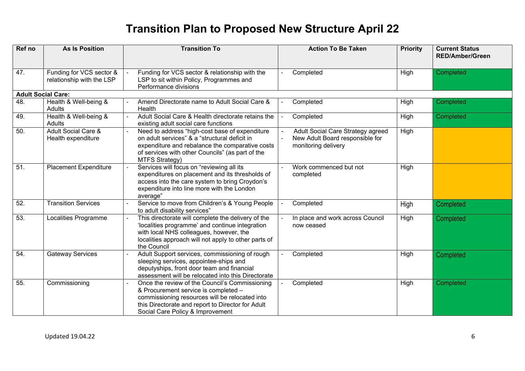| Ref no            | <b>As Is Position</b>                                 | <b>Transition To</b>                                                                                                                                                                                                              | <b>Action To Be Taken</b>                                                                                     | <b>Priority</b> | <b>Current Status</b><br><b>RED/Amber/Green</b> |  |
|-------------------|-------------------------------------------------------|-----------------------------------------------------------------------------------------------------------------------------------------------------------------------------------------------------------------------------------|---------------------------------------------------------------------------------------------------------------|-----------------|-------------------------------------------------|--|
| 47.               | Funding for VCS sector &<br>relationship with the LSP | Funding for VCS sector & relationship with the<br>LSP to sit within Policy, Programmes and<br>Performance divisions                                                                                                               | Completed                                                                                                     | High            | Completed                                       |  |
|                   | <b>Adult Social Care:</b>                             |                                                                                                                                                                                                                                   |                                                                                                               |                 |                                                 |  |
| 48.               | Health & Well-being &<br>Adults                       | Amend Directorate name to Adult Social Care &<br>Health                                                                                                                                                                           | Completed                                                                                                     | High            | Completed                                       |  |
| 49.               | Health & Well-being &<br>Adults                       | Adult Social Care & Health directorate retains the<br>existing adult social care functions                                                                                                                                        | Completed                                                                                                     | High            | Completed                                       |  |
| 50.               | <b>Adult Social Care &amp;</b><br>Health expenditure  | Need to address "high-cost base of expenditure<br>on adult services" & a "structural deficit in<br>expenditure and rebalance the comparative costs<br>of services with other Councils" (as part of the<br><b>MTFS Strategy)</b>   | Adult Social Care Strategy agreed<br>New Adult Board responsible for<br>$\blacksquare$<br>monitoring delivery | High            |                                                 |  |
| 51.               | <b>Placement Expenditure</b>                          | Services will focus on "reviewing all its<br>expenditures on placement and its thresholds of<br>access into the care system to bring Croydon's<br>expenditure into line more with the London<br>average"                          | Work commenced but not<br>$\sim$<br>completed                                                                 | High            |                                                 |  |
| 52.               | <b>Transition Services</b>                            | Service to move from Children's & Young People<br>to adult disability services"                                                                                                                                                   | Completed                                                                                                     | High            | Completed                                       |  |
| 53.               | Localities Programme                                  | This directorate will complete the delivery of the<br>'localities programme' and continue integration<br>with local NHS colleagues, however, the<br>localities approach will not apply to other parts of<br>the Council           | In place and work across Council<br>now ceased                                                                | High            | Completed                                       |  |
| 54.               | <b>Gateway Services</b>                               | Adult Support services, commissioning of rough<br>sleeping services, appointee-ships and<br>deputyships, front door team and financial<br>assessment will be relocated into this Directorate                                      | Completed                                                                                                     | High            | Completed                                       |  |
| $\overline{55}$ . | Commissioning                                         | Once the review of the Council's Commissioning<br>& Procurement service is completed -<br>commissioning resources will be relocated into<br>this Directorate and report to Director for Adult<br>Social Care Policy & Improvement | Completed                                                                                                     | High            | Completed                                       |  |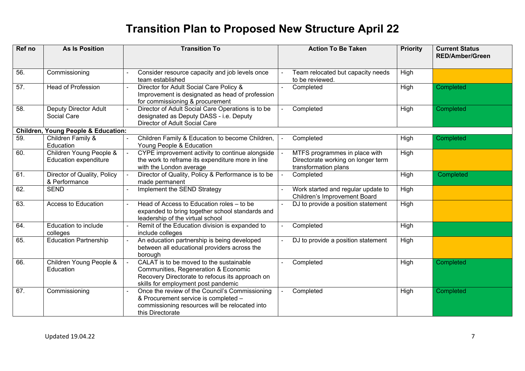| Ref no | <b>As Is Position</b>                                   | <b>Transition To</b>                                                                                                                                                      | <b>Action To Be Taken</b>                                                                   | <b>Priority</b> | <b>Current Status</b><br><b>RED/Amber/Green</b> |
|--------|---------------------------------------------------------|---------------------------------------------------------------------------------------------------------------------------------------------------------------------------|---------------------------------------------------------------------------------------------|-----------------|-------------------------------------------------|
| 56.    | Commissioning                                           | Consider resource capacity and job levels once<br>team established                                                                                                        | Team relocated but capacity needs<br>to be reviewed.                                        | High            |                                                 |
| 57.    | <b>Head of Profession</b>                               | Director for Adult Social Care Policy &<br>Improvement is designated as head of profession<br>for commissioning & procurement                                             | Completed                                                                                   | High            | Completed                                       |
| 58.    | <b>Deputy Director Adult</b><br>Social Care             | Director of Adult Social Care Operations is to be<br>designated as Deputy DASS - i.e. Deputy<br>Director of Adult Social Care                                             | Completed                                                                                   | High            | Completed                                       |
|        | <b>Children, Young People &amp; Education:</b>          |                                                                                                                                                                           |                                                                                             |                 |                                                 |
| 59.    | Children Family &<br>Education                          | Children Family & Education to become Children,<br>Young People & Education                                                                                               | Completed                                                                                   | High            | Completed                                       |
| 60.    | Children Young People &<br><b>Education expenditure</b> | CYPE improvement activity to continue alongside<br>the work to reframe its expenditure more in line<br>with the London average                                            | MTFS programmes in place with<br>Directorate working on longer term<br>transformation plans | High            |                                                 |
| 61.    | Director of Quality, Policy<br>& Performance            | Director of Quality, Policy & Performance is to be<br>made permanent                                                                                                      | Completed                                                                                   | High            | Completed                                       |
| 62.    | <b>SEND</b>                                             | Implement the SEND Strategy                                                                                                                                               | Work started and regular update to<br><b>Children's Improvement Board</b>                   | High            |                                                 |
| 63.    | Access to Education                                     | Head of Access to Education roles - to be<br>expanded to bring together school standards and<br>leadership of the virtual school                                          | DJ to provide a position statement<br>$\blacksquare$                                        | High            |                                                 |
| 64.    | Education to include<br>colleges                        | Remit of the Education division is expanded to<br>include colleges                                                                                                        | Completed                                                                                   | High            |                                                 |
| 65.    | <b>Education Partnership</b>                            | An education partnership is being developed<br>between all educational providers across the<br>borough                                                                    | DJ to provide a position statement                                                          | High            |                                                 |
| 66.    | Children Young People &<br>Education                    | CALAT is to be moved to the sustainable<br>Communities, Regeneration & Economic<br>Recovery Directorate to refocus its approach on<br>skills for employment post pandemic | Completed                                                                                   | High            | Completed                                       |
| 67.    | Commissioning                                           | Once the review of the Council's Commissioning<br>& Procurement service is completed -<br>commissioning resources will be relocated into<br>this Directorate              | Completed                                                                                   | High            | Completed                                       |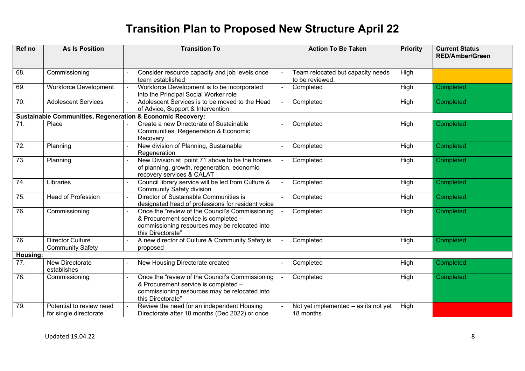| Ref no            | <b>As Is Position</b>                              | <b>Transition To</b>                                                                                                                                          | <b>Action To Be Taken</b>                            | <b>Priority</b> | <b>Current Status</b><br><b>RED/Amber/Green</b> |
|-------------------|----------------------------------------------------|---------------------------------------------------------------------------------------------------------------------------------------------------------------|------------------------------------------------------|-----------------|-------------------------------------------------|
| 68.               | Commissioning                                      | Consider resource capacity and job levels once<br>team established                                                                                            | Team relocated but capacity needs<br>to be reviewed. | High            |                                                 |
| 69.               | <b>Workforce Development</b>                       | Workforce Development is to be incorporated<br>into the Principal Social Worker role                                                                          | Completed<br>$\blacksquare$                          | High            | Completed                                       |
| 70.               | <b>Adolescent Services</b>                         | Adolescent Services is to be moved to the Head<br>of Advice, Support & Intervention                                                                           | Completed<br>$\blacksquare$                          | High            | Completed                                       |
|                   |                                                    | <b>Sustainable Communities, Regeneration &amp; Economic Recovery:</b>                                                                                         |                                                      |                 |                                                 |
| $\overline{71}$ . | Place                                              | Create a new Directorate of Sustainable<br>Communities, Regeneration & Economic<br>Recovery                                                                   | Completed                                            | High            | Completed                                       |
| 72.               | Planning                                           | New division of Planning, Sustainable<br>Regeneration                                                                                                         | Completed                                            | High            | Completed                                       |
| 73.               | Planning                                           | New Division at point 71 above to be the homes<br>of planning, growth, regeneration, economic<br>recovery services & CALAT                                    | Completed                                            | High            | Completed                                       |
| 74.               | Libraries                                          | Council library service will be led from Culture &<br><b>Community Safety division</b>                                                                        | Completed<br>$\sim$                                  | High            | Completed                                       |
| 75.               | <b>Head of Profession</b>                          | Director of Sustainable Communities is<br>designated head of professions for resident voice                                                                   | Completed                                            | High            | Completed                                       |
| 76.               | Commissioning                                      | Once the "review of the Council's Commissioning<br>& Procurement service is completed -<br>commissioning resources may be relocated into<br>this Directorate" | Completed                                            | High            | Completed                                       |
| 76.               | <b>Director Culture</b><br><b>Community Safety</b> | A new director of Culture & Community Safety is<br>proposed                                                                                                   | Completed                                            | High            | Completed                                       |
| Housing:          |                                                    |                                                                                                                                                               |                                                      |                 |                                                 |
| 77.               | New Directorate<br>establishes                     | New Housing Directorate created                                                                                                                               | Completed                                            | High            | Completed                                       |
| 78.               | Commissioning                                      | Once the "review of the Council's Commissioning<br>& Procurement service is completed -<br>commissioning resources may be relocated into<br>this Directorate" | Completed                                            | High            | Completed                                       |
| 79.               | Potential to review need<br>for single directorate | Review the need for an independent Housing<br>Directorate after 18 months (Dec 2022) or once                                                                  | Not yet implemented - as its not yet<br>18 months    | High            |                                                 |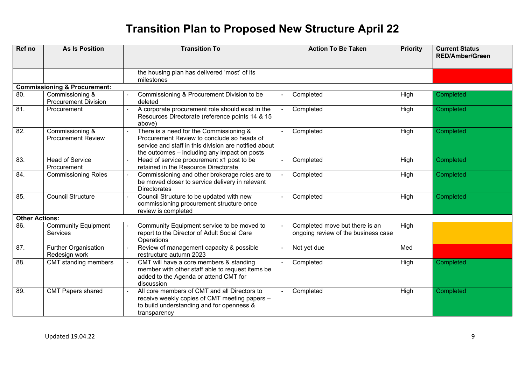| Ref no                | <b>As Is Position</b>                          | <b>Transition To</b>                                                                                                                                                                           | <b>Action To Be Taken</b>                                             | <b>Priority</b> | <b>Current Status</b><br><b>RED/Amber/Green</b> |
|-----------------------|------------------------------------------------|------------------------------------------------------------------------------------------------------------------------------------------------------------------------------------------------|-----------------------------------------------------------------------|-----------------|-------------------------------------------------|
|                       |                                                | the housing plan has delivered 'most' of its<br>milestones                                                                                                                                     |                                                                       |                 |                                                 |
|                       | <b>Commissioning &amp; Procurement:</b>        |                                                                                                                                                                                                |                                                                       |                 |                                                 |
| 80.                   | Commissioning &<br><b>Procurement Division</b> | Commissioning & Procurement Division to be<br>deleted                                                                                                                                          | Completed                                                             | High            | Completed                                       |
| 81.                   | Procurement                                    | A corporate procurement role should exist in the<br>Resources Directorate (reference points 14 & 15<br>above)                                                                                  | Completed                                                             | High            | Completed                                       |
| 82.                   | Commissioning &<br><b>Procurement Review</b>   | There is a need for the Commissioning &<br>Procurement Review to conclude so heads of<br>service and staff in this division are notified about<br>the outcomes - including any impact on posts | Completed                                                             | High            | Completed                                       |
| 83.                   | <b>Head of Service</b><br>Procurement          | Head of service procurement x1 post to be<br>retained in the Resource Directorate                                                                                                              | Completed                                                             | High            | Completed                                       |
| 84.                   | <b>Commissioning Roles</b>                     | Commissioning and other brokerage roles are to<br>be moved closer to service delivery in relevant<br><b>Directorates</b>                                                                       | Completed                                                             | High            | Completed                                       |
| 85.                   | <b>Council Structure</b>                       | Council Structure to be updated with new<br>commissioning procurement structure once<br>review is completed                                                                                    | Completed                                                             | High            | Completed                                       |
| <b>Other Actions:</b> |                                                |                                                                                                                                                                                                |                                                                       |                 |                                                 |
| 86.                   | <b>Community Equipment</b><br>Services         | Community Equipment service to be moved to<br>report to the Director of Adult Social Care<br>Operations                                                                                        | Completed move but there is an<br>ongoing review of the business case | High            |                                                 |
| 87.                   | <b>Further Organisation</b><br>Redesign work   | Review of management capacity & possible<br>restructure autumn 2023                                                                                                                            | Not yet due                                                           | Med             |                                                 |
| 88.                   | CMT standing members                           | CMT will have a core members & standing<br>member with other staff able to request items be<br>added to the Agenda or attend CMT for<br>discussion                                             | Completed                                                             | High            | Completed                                       |
| 89.                   | <b>CMT Papers shared</b>                       | All core members of CMT and all Directors to<br>receive weekly copies of CMT meeting papers -<br>to build understanding and for openness &<br>transparency                                     | Completed                                                             | High            | Completed                                       |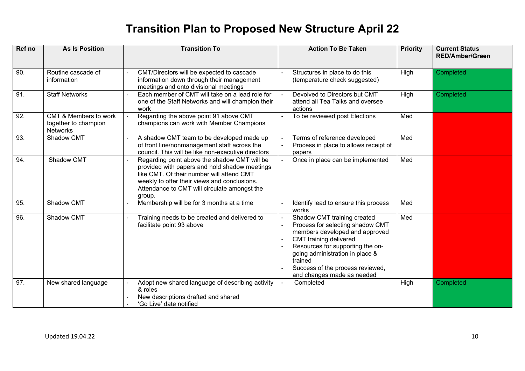| Ref no | <b>As Is Position</b>                                            | <b>Transition To</b>                                                                                                                                                                                                                                 | <b>Action To Be Taken</b>                                                                                                                                                                                                                                                              | <b>Priority</b> | <b>Current Status</b><br><b>RED/Amber/Green</b> |
|--------|------------------------------------------------------------------|------------------------------------------------------------------------------------------------------------------------------------------------------------------------------------------------------------------------------------------------------|----------------------------------------------------------------------------------------------------------------------------------------------------------------------------------------------------------------------------------------------------------------------------------------|-----------------|-------------------------------------------------|
| 90.    | Routine cascade of<br>information                                | CMT/Directors will be expected to cascade<br>information down through their management<br>meetings and onto divisional meetings                                                                                                                      | Structures in place to do this<br>$\mathbf{r}$<br>(temperature check suggested)                                                                                                                                                                                                        | High            | Completed                                       |
| 91.    | <b>Staff Networks</b>                                            | Each member of CMT will take on a lead role for<br>one of the Staff Networks and will champion their<br>work                                                                                                                                         | Devolved to Directors but CMT<br>attend all Tea Talks and oversee<br>actions                                                                                                                                                                                                           | High            | Completed                                       |
| 92.    | CMT & Members to work<br>together to champion<br><b>Networks</b> | Regarding the above point 91 above CMT<br>champions can work with Member Champions                                                                                                                                                                   | To be reviewed post Elections                                                                                                                                                                                                                                                          | Med             |                                                 |
| 93.    | Shadow CMT                                                       | A shadow CMT team to be developed made up<br>of front line/nonmanagement staff across the<br>council. This will be like non-executive directors                                                                                                      | Terms of reference developed<br>Process in place to allows receipt of<br>papers                                                                                                                                                                                                        | Med             |                                                 |
| 94.    | Shadow CMT                                                       | Regarding point above the shadow CMT will be<br>provided with papers and hold shadow meetings<br>like CMT. Of their number will attend CMT<br>weekly to offer their views and conclusions.<br>Attendance to CMT will circulate amongst the<br>group. | Once in place can be implemented                                                                                                                                                                                                                                                       | Med             |                                                 |
| 95.    | Shadow CMT                                                       | Membership will be for 3 months at a time                                                                                                                                                                                                            | Identify lead to ensure this process<br>works                                                                                                                                                                                                                                          | Med             |                                                 |
| 96.    | Shadow CMT                                                       | Training needs to be created and delivered to<br>facilitate point 93 above                                                                                                                                                                           | Shadow CMT training created<br>Process for selecting shadow CMT<br>members developed and approved<br><b>CMT</b> training delivered<br>Resources for supporting the on-<br>going administration in place &<br>trained<br>Success of the process reviewed,<br>and changes made as needed | Med             |                                                 |
| 97.    | New shared language                                              | Adopt new shared language of describing activity<br>& roles<br>New descriptions drafted and shared<br>'Go Live' date notified                                                                                                                        | Completed                                                                                                                                                                                                                                                                              | High            | Completed                                       |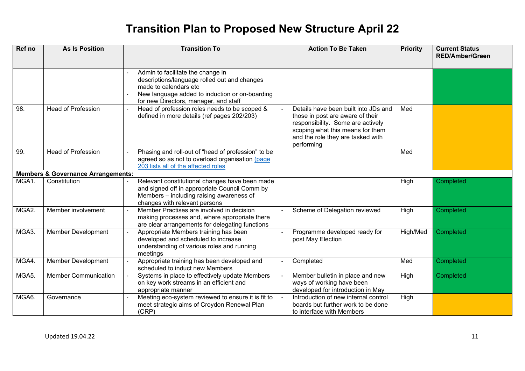| Ref no | <b>As Is Position</b>                         | <b>Transition To</b>                                                                                                                                                                                  | <b>Action To Be Taken</b>                                                                                                                                                                            | <b>Priority</b> | <b>Current Status</b><br><b>RED/Amber/Green</b> |
|--------|-----------------------------------------------|-------------------------------------------------------------------------------------------------------------------------------------------------------------------------------------------------------|------------------------------------------------------------------------------------------------------------------------------------------------------------------------------------------------------|-----------------|-------------------------------------------------|
|        |                                               | Admin to facilitate the change in<br>descriptions/language rolled out and changes<br>made to calendars etc<br>New language added to induction or on-boarding<br>for new Directors, manager, and staff |                                                                                                                                                                                                      |                 |                                                 |
| 98.    | <b>Head of Profession</b>                     | Head of profession roles needs to be scoped &<br>defined in more details (ref pages 202/203)                                                                                                          | Details have been built into JDs and<br>those in post are aware of their<br>responsibility. Some are actively<br>scoping what this means for them<br>and the role they are tasked with<br>performing | Med             |                                                 |
| 99.    | <b>Head of Profession</b>                     | Phasing and roll-out of "head of profession" to be<br>agreed so as not to overload organisation (page<br>203 lists all of the affected roles                                                          |                                                                                                                                                                                                      | Med             |                                                 |
|        | <b>Members &amp; Governance Arrangements:</b> |                                                                                                                                                                                                       |                                                                                                                                                                                                      |                 |                                                 |
| MGA1.  | Constitution                                  | Relevant constitutional changes have been made<br>and signed off in appropriate Council Comm by<br>Members - including raising awareness of<br>changes with relevant persons                          |                                                                                                                                                                                                      | High            | Completed                                       |
| MGA2.  | Member involvement                            | Member Practises are involved in decision<br>making processes and, where appropriate there<br>are clear arrangements for delegating functions                                                         | Scheme of Delegation reviewed                                                                                                                                                                        | High            | Completed                                       |
| MGA3.  | <b>Member Development</b>                     | Appropriate Members training has been<br>developed and scheduled to increase<br>understanding of various roles and running<br>meetings                                                                | Programme developed ready for<br>post May Election                                                                                                                                                   | High/Med        | Completed                                       |
| MGA4.  | <b>Member Development</b>                     | Appropriate training has been developed and<br>scheduled to induct new Members                                                                                                                        | Completed                                                                                                                                                                                            | Med             | Completed                                       |
| MGA5.  | <b>Member Communication</b>                   | Systems in place to effectively update Members<br>on key work streams in an efficient and<br>appropriate manner                                                                                       | Member bulletin in place and new<br>ways of working have been<br>developed for introduction in May                                                                                                   | High            | Completed                                       |
| MGA6.  | Governance                                    | Meeting eco-system reviewed to ensure it is fit to<br>meet strategic aims of Croydon Renewal Plan<br>(CRP)                                                                                            | Introduction of new internal control<br>boards but further work to be done<br>to interface with Members                                                                                              | High            |                                                 |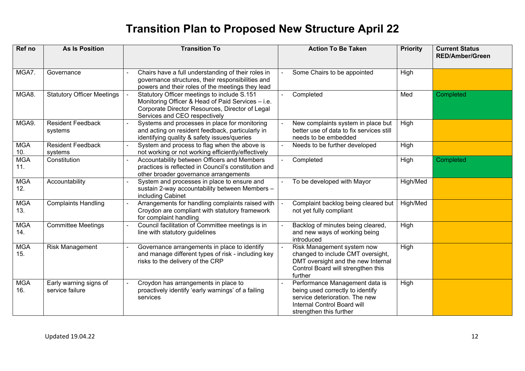| Ref no            | <b>As Is Position</b>                     | <b>Transition To</b>                                                                                                                                                                 | <b>Action To Be Taken</b>                                                                                                                                      | <b>Priority</b> | <b>Current Status</b><br><b>RED/Amber/Green</b> |
|-------------------|-------------------------------------------|--------------------------------------------------------------------------------------------------------------------------------------------------------------------------------------|----------------------------------------------------------------------------------------------------------------------------------------------------------------|-----------------|-------------------------------------------------|
| MGA7.             | Governance                                | Chairs have a full understanding of their roles in<br>governance structures, their responsibilities and<br>powers and their roles of the meetings they lead                          | Some Chairs to be appointed                                                                                                                                    | High            |                                                 |
| MGA8.             | <b>Statutory Officer Meetings</b>         | Statutory Officer meetings to include S.151<br>Monitoring Officer & Head of Paid Services - i.e.<br>Corporate Director Resources, Director of Legal<br>Services and CEO respectively | Completed                                                                                                                                                      | Med             | Completed                                       |
| MGA9.             | <b>Resident Feedback</b><br>systems       | Systems and processes in place for monitoring<br>and acting on resident feedback, particularly in<br>identifying quality & safety issues/queries                                     | New complaints system in place but<br>better use of data to fix services still<br>needs to be embedded                                                         | High            |                                                 |
| <b>MGA</b><br>10. | <b>Resident Feedback</b><br>systems       | System and process to flag when the above is<br>not working or not working efficiently/effectively                                                                                   | Needs to be further developed                                                                                                                                  | High            |                                                 |
| <b>MGA</b><br>11. | Constitution                              | Accountability between Officers and Members<br>practices is reflected in Council's constitution and<br>other broader governance arrangements                                         | Completed                                                                                                                                                      | High            | Completed                                       |
| <b>MGA</b><br>12. | Accountability                            | System and processes in place to ensure and<br>sustain 2-way accountability between Members -<br>including Cabinet                                                                   | To be developed with Mayor                                                                                                                                     | High/Med        |                                                 |
| <b>MGA</b><br>13. | <b>Complaints Handling</b>                | Arrangements for handling complaints raised with<br>Croydon are compliant with statutory framework<br>for complaint handling                                                         | Complaint backlog being cleared but<br>not yet fully compliant                                                                                                 | High/Med        |                                                 |
| <b>MGA</b><br>14. | <b>Committee Meetings</b>                 | Council facilitation of Committee meetings is in<br>line with statutory guidelines                                                                                                   | Backlog of minutes being cleared,<br>and new ways of working being<br>introduced                                                                               | High            |                                                 |
| <b>MGA</b><br>15. | <b>Risk Management</b>                    | Governance arrangements in place to identify<br>and manage different types of risk - including key<br>risks to the delivery of the CRP                                               | Risk Management system now<br>changed to include CMT oversight,<br>DMT oversight and the new Internal<br>Control Board will strengthen this<br>further         | High            |                                                 |
| <b>MGA</b><br>16. | Early warning signs of<br>service failure | Croydon has arrangements in place to<br>proactively identify 'early warnings' of a failing<br>services                                                                               | Performance Management data is<br>being used correctly to identify<br>service deterioration. The new<br>Internal Control Board will<br>strengthen this further | High            |                                                 |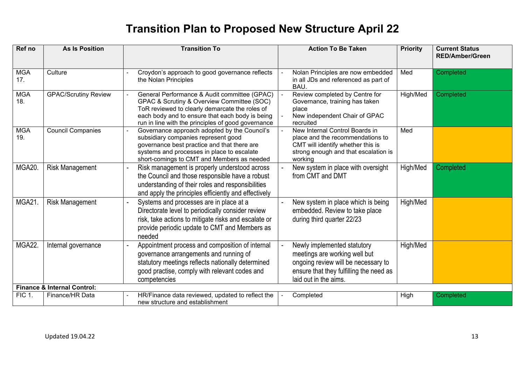| Ref no            | <b>As Is Position</b>                  | <b>Transition To</b>                                                                                                                                                                                                                                  | <b>Action To Be Taken</b>                                                                                                                                               | <b>Priority</b> | <b>Current Status</b><br><b>RED/Amber/Green</b> |
|-------------------|----------------------------------------|-------------------------------------------------------------------------------------------------------------------------------------------------------------------------------------------------------------------------------------------------------|-------------------------------------------------------------------------------------------------------------------------------------------------------------------------|-----------------|-------------------------------------------------|
| <b>MGA</b><br>17. | Culture                                | Croydon's approach to good governance reflects<br>the Nolan Principles                                                                                                                                                                                | Nolan Principles are now embedded<br>in all JDs and referenced as part of<br>BAU.                                                                                       | Med             | Completed                                       |
| <b>MGA</b><br>18. | <b>GPAC/Scrutiny Review</b>            | General Performance & Audit committee (GPAC)<br>GPAC & Scrutiny & Overview Committee (SOC)<br>ToR reviewed to clearly demarcate the roles of<br>each body and to ensure that each body is being<br>run in line with the principles of good governance | Review completed by Centre for<br>Governance, training has taken<br>place<br>New independent Chair of GPAC<br>recruited                                                 | High/Med        | Completed                                       |
| <b>MGA</b><br>19. | <b>Council Companies</b>               | Governance approach adopted by the Council's<br>subsidiary companies represent good<br>governance best practice and that there are<br>systems and processes in place to escalate<br>short-comings to CMT and Members as needed                        | New Internal Control Boards in<br>place and the recommendations to<br>CMT will identify whether this is<br>strong enough and that escalation is<br>working              | Med             |                                                 |
| MGA20.            | <b>Risk Management</b>                 | Risk management is properly understood across<br>the Council and those responsible have a robust<br>understanding of their roles and responsibilities<br>and apply the principles efficiently and effectively                                         | New system in place with oversight<br>from CMT and DMT                                                                                                                  | High/Med        | Completed                                       |
| <b>MGA21.</b>     | <b>Risk Management</b>                 | Systems and processes are in place at a<br>Directorate level to periodically consider review<br>risk, take actions to mitigate risks and escalate or<br>provide periodic update to CMT and Members as<br>needed                                       | New system in place which is being<br>embedded. Review to take place<br>during third quarter 22/23                                                                      | High/Med        |                                                 |
| MGA22.            | Internal governance                    | Appointment process and composition of internal<br>governance arrangements and running of<br>statutory meetings reflects nationally determined<br>good practise, comply with relevant codes and<br>competencies                                       | Newly implemented statutory<br>meetings are working well but<br>ongoing review will be necessary to<br>ensure that they fulfilling the need as<br>laid out in the aims. | High/Med        |                                                 |
|                   | <b>Finance &amp; Internal Control:</b> |                                                                                                                                                                                                                                                       |                                                                                                                                                                         |                 |                                                 |
| <b>FIC 1.</b>     | Finance/HR Data                        | HR/Finance data reviewed, updated to reflect the<br>new structure and establishment                                                                                                                                                                   | Completed                                                                                                                                                               | High            | Completed                                       |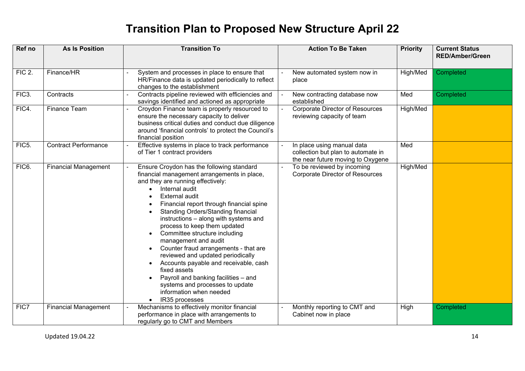| Ref no             | <b>As Is Position</b>       | <b>Transition To</b>                                                                                                                                                                                                                                                                                                                                                                                                                                                                                                                                                                                                                                                                                                   | <b>Action To Be Taken</b>                                                                             | <b>Priority</b> | <b>Current Status</b><br><b>RED/Amber/Green</b> |
|--------------------|-----------------------------|------------------------------------------------------------------------------------------------------------------------------------------------------------------------------------------------------------------------------------------------------------------------------------------------------------------------------------------------------------------------------------------------------------------------------------------------------------------------------------------------------------------------------------------------------------------------------------------------------------------------------------------------------------------------------------------------------------------------|-------------------------------------------------------------------------------------------------------|-----------------|-------------------------------------------------|
|                    |                             |                                                                                                                                                                                                                                                                                                                                                                                                                                                                                                                                                                                                                                                                                                                        |                                                                                                       |                 |                                                 |
| <b>FIC 2.</b>      | Finance/HR                  | System and processes in place to ensure that<br>HR/Finance data is updated periodically to reflect<br>changes to the establishment                                                                                                                                                                                                                                                                                                                                                                                                                                                                                                                                                                                     | New automated system now in<br>place                                                                  | High/Med        | Completed                                       |
| FIC <sub>3</sub> . | Contracts                   | Contracts pipeline reviewed with efficiencies and<br>savings identified and actioned as appropriate                                                                                                                                                                                                                                                                                                                                                                                                                                                                                                                                                                                                                    | New contracting database now<br>established                                                           | Med             | Completed                                       |
| FIC4.              | Finance Team                | Croydon Finance team is properly resourced to<br>ensure the necessary capacity to deliver<br>business critical duties and conduct due diligence<br>around 'financial controls' to protect the Council's<br>financial position                                                                                                                                                                                                                                                                                                                                                                                                                                                                                          | Corporate Director of Resources<br>reviewing capacity of team                                         | High/Med        |                                                 |
| FIC5.              | <b>Contract Performance</b> | Effective systems in place to track performance<br>of Tier 1 contract providers                                                                                                                                                                                                                                                                                                                                                                                                                                                                                                                                                                                                                                        | In place using manual data<br>collection but plan to automate in<br>the near future moving to Oxygene | Med             |                                                 |
| FIC6.              | <b>Financial Management</b> | Ensure Croydon has the following standard<br>financial management arrangements in place,<br>and they are running effectively:<br>Internal audit<br><b>External audit</b><br>Financial report through financial spine<br><b>Standing Orders/Standing financial</b><br>instructions - along with systems and<br>process to keep them updated<br>Committee structure including<br>$\bullet$<br>management and audit<br>Counter fraud arrangements - that are<br>$\bullet$<br>reviewed and updated periodically<br>Accounts payable and receivable, cash<br>$\bullet$<br>fixed assets<br>Payroll and banking facilities - and<br>$\bullet$<br>systems and processes to update<br>information when needed<br>IR35 processes | To be reviewed by incoming<br><b>Corporate Director of Resources</b>                                  | High/Med        |                                                 |
| FIC7               | <b>Financial Management</b> | Mechanisms to effectively monitor financial<br>performance in place with arrangements to<br>regularly go to CMT and Members                                                                                                                                                                                                                                                                                                                                                                                                                                                                                                                                                                                            | Monthly reporting to CMT and<br>Cabinet now in place                                                  | High            | Completed                                       |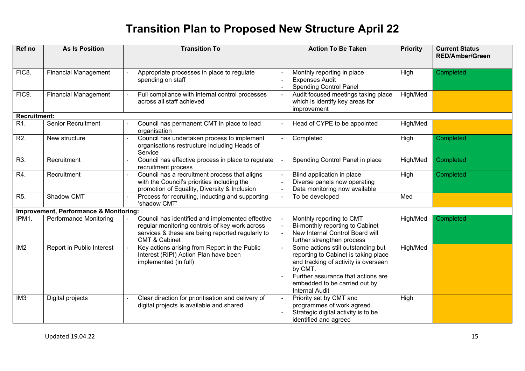| Ref no              | <b>As Is Position</b>                             | <b>Transition To</b>                                                                                                                                                               | <b>Action To Be Taken</b>                                                                                                                                                                                                                       | <b>Priority</b> | <b>Current Status</b><br><b>RED/Amber/Green</b> |
|---------------------|---------------------------------------------------|------------------------------------------------------------------------------------------------------------------------------------------------------------------------------------|-------------------------------------------------------------------------------------------------------------------------------------------------------------------------------------------------------------------------------------------------|-----------------|-------------------------------------------------|
|                     |                                                   |                                                                                                                                                                                    |                                                                                                                                                                                                                                                 |                 |                                                 |
| FIC8.               | <b>Financial Management</b>                       | Appropriate processes in place to regulate<br>spending on staff                                                                                                                    | Monthly reporting in place<br><b>Expenses Audit</b><br><b>Spending Control Panel</b>                                                                                                                                                            | High            | Completed                                       |
| FIC9.               | <b>Financial Management</b>                       | Full compliance with internal control processes<br>across all staff achieved                                                                                                       | Audit focused meetings taking place<br>which is identify key areas for<br>improvement                                                                                                                                                           | High/Med        |                                                 |
| <b>Recruitment:</b> |                                                   |                                                                                                                                                                                    |                                                                                                                                                                                                                                                 |                 |                                                 |
| R1.                 | <b>Senior Recruitment</b>                         | Council has permanent CMT in place to lead<br>organisation                                                                                                                         | Head of CYPE to be appointed                                                                                                                                                                                                                    | High/Med        |                                                 |
| R <sub>2</sub> .    | New structure                                     | Council has undertaken process to implement<br>organisations restructure including Heads of<br>Service                                                                             | Completed                                                                                                                                                                                                                                       | High            | Completed                                       |
| R3.                 | Recruitment                                       | Council has effective process in place to regulate<br>recruitment process                                                                                                          | Spending Control Panel in place                                                                                                                                                                                                                 | High/Med        | Completed                                       |
| R4.                 | Recruitment                                       | Council has a recruitment process that aligns<br>with the Council's priorities including the<br>promotion of Equality, Diversity & Inclusion                                       | Blind application in place<br>Diverse panels now operating<br>Data monitoring now available                                                                                                                                                     | High            | Completed                                       |
| R <sub>5</sub> .    | Shadow CMT                                        | Process for recruiting, inducting and supporting<br>'shadow CMT                                                                                                                    | To be developed                                                                                                                                                                                                                                 | Med             |                                                 |
|                     | <b>Improvement, Performance &amp; Monitoring:</b> |                                                                                                                                                                                    |                                                                                                                                                                                                                                                 |                 |                                                 |
| IPM1.               | Performance Monitoring                            | Council has identified and implemented effective<br>regular monitoring controls of key work across<br>services & these are being reported regularly to<br><b>CMT &amp; Cabinet</b> | Monthly reporting to CMT<br>$\overline{a}$<br>Bi-monthly reporting to Cabinet<br>New Internal Control Board will<br>further strengthen process                                                                                                  | High/Med        | Completed                                       |
| IM <sub>2</sub>     | Report in Public Interest                         | Key actions arising from Report in the Public<br>Interest (RIPI) Action Plan have been<br>implemented (in full)                                                                    | Some actions still outstanding but<br>$\overline{a}$<br>reporting to Cabinet is taking place<br>and tracking of activity is overseen<br>by CMT.<br>Further assurance that actions are<br>embedded to be carried out by<br><b>Internal Audit</b> | High/Med        |                                                 |
| IM <sub>3</sub>     | Digital projects                                  | Clear direction for prioritisation and delivery of<br>digital projects is available and shared                                                                                     | Priority set by CMT and<br>programmes of work agreed.<br>Strategic digital activity is to be<br>identified and agreed                                                                                                                           | High            |                                                 |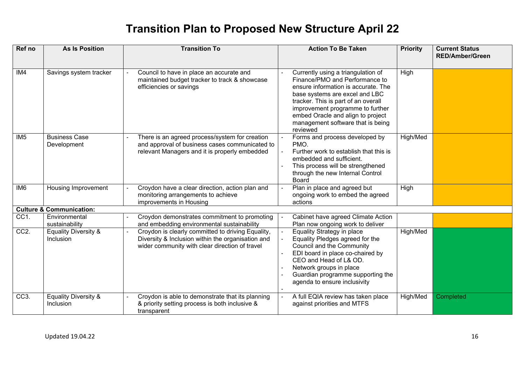| Ref no            | <b>As Is Position</b>                               | <b>Transition To</b>                                                                                                                                     | <b>Action To Be Taken</b>                                                                                                                                                                                                                                                                                      | <b>Priority</b> | <b>Current Status</b><br><b>RED/Amber/Green</b> |
|-------------------|-----------------------------------------------------|----------------------------------------------------------------------------------------------------------------------------------------------------------|----------------------------------------------------------------------------------------------------------------------------------------------------------------------------------------------------------------------------------------------------------------------------------------------------------------|-----------------|-------------------------------------------------|
| IM4               | Savings system tracker                              | Council to have in place an accurate and<br>maintained budget tracker to track & showcase<br>efficiencies or savings                                     | Currently using a triangulation of<br>Finance/PMO and Performance to<br>ensure information is accurate. The<br>base systems are excel and LBC<br>tracker. This is part of an overall<br>improvement programme to further<br>embed Oracle and align to project<br>management software that is being<br>reviewed | High            |                                                 |
| IM5               | <b>Business Case</b><br>Development                 | There is an agreed process/system for creation<br>and approval of business cases communicated to<br>relevant Managers and it is properly embedded        | Forms and process developed by<br>PMO.<br>Further work to establish that this is<br>embedded and sufficient.<br>This process will be strengthened<br>through the new Internal Control<br><b>Board</b>                                                                                                          | High/Med        |                                                 |
| IM <sub>6</sub>   | Housing Improvement                                 | Croydon have a clear direction, action plan and<br>monitoring arrangements to achieve<br>improvements in Housing                                         | Plan in place and agreed but<br>ongoing work to embed the agreed<br>actions                                                                                                                                                                                                                                    | High            |                                                 |
|                   | <b>Culture &amp; Communication:</b>                 |                                                                                                                                                          |                                                                                                                                                                                                                                                                                                                |                 |                                                 |
| CC1.              | Environmental<br>sustainability                     | Croydon demonstrates commitment to promoting<br>and embedding environmental sustainability                                                               | Cabinet have agreed Climate Action<br>Plan now ongoing work to deliver                                                                                                                                                                                                                                         |                 |                                                 |
| CC2.              | <b>Equality Diversity &amp;</b><br><b>Inclusion</b> | Croydon is clearly committed to driving Equality,<br>Diversity & Inclusion within the organisation and<br>wider community with clear direction of travel | Equality Strategy in place<br>Equality Pledges agreed for the<br>Council and the Community<br>EDI board in place co-chaired by<br>CEO and Head of L& OD.<br>Network groups in place<br>Guardian programme supporting the<br>agenda to ensure inclusivity                                                       | High/Med        |                                                 |
| CC <sub>3</sub> . | <b>Equality Diversity &amp;</b><br>Inclusion        | Croydon is able to demonstrate that its planning<br>& priority setting process is both inclusive &<br>transparent                                        | A full EQIA review has taken place<br>against priorities and MTFS                                                                                                                                                                                                                                              | High/Med        | Completed                                       |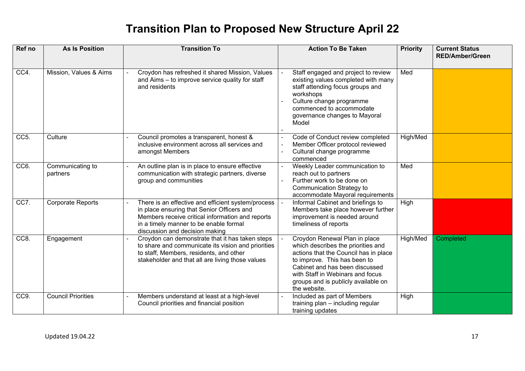| Ref no          | <b>As Is Position</b>        | <b>Transition To</b>                                                                                                                                                                                                             | <b>Action To Be Taken</b>                                                                                                                                                                                                                                                 | <b>Priority</b> | <b>Current Status</b><br><b>RED/Amber/Green</b> |
|-----------------|------------------------------|----------------------------------------------------------------------------------------------------------------------------------------------------------------------------------------------------------------------------------|---------------------------------------------------------------------------------------------------------------------------------------------------------------------------------------------------------------------------------------------------------------------------|-----------------|-------------------------------------------------|
| CC4.            | Mission, Values & Aims       | Croydon has refreshed it shared Mission, Values<br>and Aims - to improve service quality for staff<br>and residents                                                                                                              | Staff engaged and project to review<br>existing values completed with many<br>staff attending focus groups and<br>workshops<br>Culture change programme<br>commenced to accommodate<br>governance changes to Mayoral<br>Model                                             | Med             |                                                 |
| CC <sub>5</sub> | Culture                      | Council promotes a transparent, honest &<br>inclusive environment across all services and<br>amongst Members                                                                                                                     | Code of Conduct review completed<br>Member Officer protocol reviewed<br>Cultural change programme<br>commenced                                                                                                                                                            | High/Med        |                                                 |
| CC6.            | Communicating to<br>partners | An outline plan is in place to ensure effective<br>communication with strategic partners, diverse<br>group and communities                                                                                                       | Weekly Leader communication to<br>reach out to partners<br>Further work to be done on<br><b>Communication Strategy to</b><br>accommodate Mayoral requirements                                                                                                             | Med             |                                                 |
| CC7.            | <b>Corporate Reports</b>     | There is an effective and efficient system/process<br>in place ensuring that Senior Officers and<br>Members receive critical information and reports<br>in a timely manner to be enable formal<br>discussion and decision making | Informal Cabinet and briefings to<br>Members take place however further<br>improvement is needed around<br>timeliness of reports                                                                                                                                          | High            |                                                 |
| CC <sub>8</sub> | Engagement                   | Croydon can demonstrate that it has taken steps<br>to share and communicate its vision and priorities<br>to staff, Members, residents, and other<br>stakeholder and that all are living those values                             | Croydon Renewal Plan in place<br>which describes the priorities and<br>actions that the Council has in place<br>to improve. This has been to<br>Cabinet and has been discussed<br>with Staff in Webinars and focus<br>groups and is publicly available on<br>the website. | High/Med        | Completed                                       |
| CC9.            | <b>Council Priorities</b>    | Members understand at least at a high-level<br>Council priorities and financial position                                                                                                                                         | Included as part of Members<br>$\blacksquare$<br>training plan - including regular<br>training updates                                                                                                                                                                    | High            |                                                 |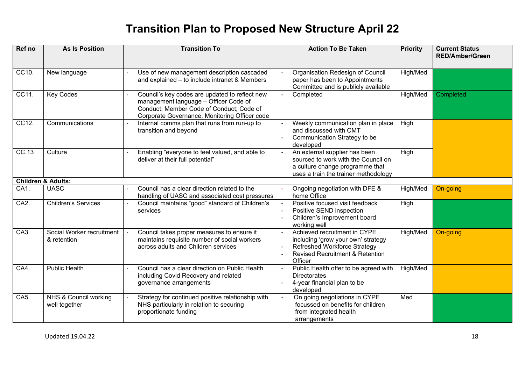| Ref no            | <b>As Is Position</b>                    | <b>Transition To</b>                                                                                                                                                                 | <b>Action To Be Taken</b>                                                                                                                                                                                          | <b>Priority</b> | <b>Current Status</b><br><b>RED/Amber/Green</b> |
|-------------------|------------------------------------------|--------------------------------------------------------------------------------------------------------------------------------------------------------------------------------------|--------------------------------------------------------------------------------------------------------------------------------------------------------------------------------------------------------------------|-----------------|-------------------------------------------------|
| CC10.             | New language                             | Use of new management description cascaded<br>and explained - to include intranet & Members                                                                                          | Organisation Redesign of Council<br>paper has been to Appointments<br>Committee and is publicly available                                                                                                          | High/Med        |                                                 |
| CC11.             | <b>Key Codes</b>                         | Council's key codes are updated to reflect new<br>management language - Officer Code of<br>Conduct; Member Code of Conduct; Code of<br>Corporate Governance, Monitoring Officer code | Completed<br>$\blacksquare$                                                                                                                                                                                        | High/Med        | Completed                                       |
| CC12.             | Communications                           | Internal comms plan that runs from run-up to<br>transition and beyond                                                                                                                | Weekly communication plan in place<br>and discussed with CMT<br>Communication Strategy to be<br>$\blacksquare$<br>developed                                                                                        | High            |                                                 |
| CC.13             | Culture                                  | Enabling "everyone to feel valued, and able to<br>deliver at their full potential"                                                                                                   | An external supplier has been<br>$\blacksquare$<br>sourced to work with the Council on<br>a culture change programme that<br>uses a train the trainer methodology                                                  | High            |                                                 |
|                   | <b>Children &amp; Adults:</b>            |                                                                                                                                                                                      |                                                                                                                                                                                                                    |                 |                                                 |
| CA1.              | <b>UASC</b>                              | Council has a clear direction related to the<br>handling of UASC and associated cost pressures                                                                                       | Ongoing negotiation with DFE &<br>home Office                                                                                                                                                                      | High/Med        | On-going                                        |
| CA <sub>2</sub> . | <b>Children's Services</b>               | Council maintains "good" standard of Children's<br>services                                                                                                                          | Positive focused visit feedback<br>$\blacksquare$<br>Positive SEND inspection<br>$\overline{\phantom{a}}$<br>Children's Improvement board<br>L.<br>working well                                                    | High            |                                                 |
| CA3.              | Social Worker recruitment<br>& retention | Council takes proper measures to ensure it<br>maintains requisite number of social workers<br>across adults and Children services                                                    | Achieved recruitment in CYPE<br>$\Delta$<br>including 'grow your own' strategy<br><b>Refreshed Workforce Strategy</b><br>$\blacksquare$<br><b>Revised Recruitment &amp; Retention</b><br>$\blacksquare$<br>Officer | High/Med        | On-going                                        |
| CA4.              | <b>Public Health</b>                     | Council has a clear direction on Public Health<br>including Covid Recovery and related<br>governance arrangements                                                                    | Public Health offer to be agreed with<br><b>Directorates</b><br>4-year financial plan to be<br>developed                                                                                                           | High/Med        |                                                 |
| CA <sub>5</sub> . | NHS & Council working<br>well together   | Strategy for continued positive relationship with<br>NHS particularly in relation to securing<br>proportionate funding                                                               | On going negotiations in CYPE<br>ä,<br>focussed on benefits for children<br>from integrated health<br>arrangements                                                                                                 | Med             |                                                 |